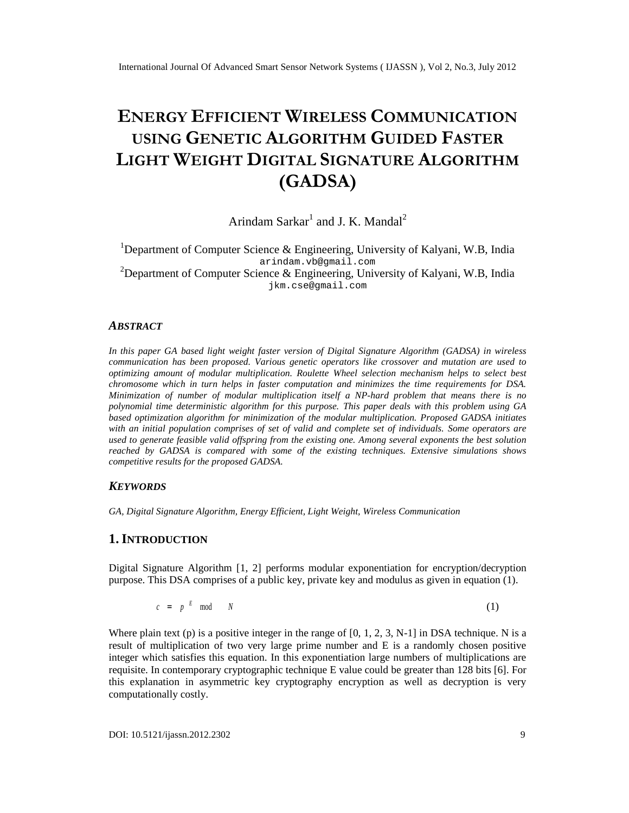# ENERGEFFICIEN WIRELESS MMUNICATION USINGENETIALGORITHGEUIDEDFASTER LIGHTWEIGHTDIGITASS GNATURAL GORITHM (GADSA )

# Arindam Sarka<sup>t</sup>randJ. K. Mandai

<sup>1</sup>Department of Computer Science & Engineering, University of Kalyani, W.B, India arindam.vb@gmail.com <sup>2</sup>Department of Computer Science & Engineering, University of Kalyani, W.B, India jkm.c[se@gmail.com](mailto:cse@gmail.com)

### ABSTRACT

In this paperGA based light weighfaster version of Digital Signature Algorithm (GADSA) in wireless communicationhas been proposed/arious genetic operators like crossover and mutation are used to optimizing amount of modular multiplication. Roulette Wheel selection mechanism helps to setest b chromosome which in turn helps in faster computation and minimizes the time requirements for DSA. Minimization of number of modular multiplication itself a IN Brd problem that means there is no polynomial time deterministic algorithm for this purposeis paperdeals withthis problem using GA basedoptimization algorithmfor minimization ofthe modular multiplicationProposedGADSAinitiates with an initial population comprises of set of valid and complete set of individent poperators are usedto generate feasible valid offspring from the existing @meongseveral exponents the best solution reached byGADSA is compared with some of the existing techniques densive simulations shows competitive results for the proposedDSA

# **KEYWORDS**

GA, Digital Signature Algorithm, Energy Efficient, Light Weight, Wireless Communication

# 1.I NTRODUCTION

Digital Signature Algorithm<sup>[1</sup>, 2] performsmodular exponentiation forencryption/decryption purpose This DSA comprises of a pub dkey, private key and modulus as given inequation (1).

$$
c = p^E \mod N \tag{1}
$$

Where plain text (p) is a positive integer in the range of  $[0, 1, 2, 3]$  in DSA technique. N is a result of multiplication of two very large prime number and E is a randomly chosen positive integerwhich satisfies this equation. In this exponentiation large numbers of multiplications are requisite. In contemporary cryptographic tein  $\mathbf c$  is value could be reater than 128 bits [6]. For this explanation in asymmetric key cryptography encryption as well as decryption is very computationally costly.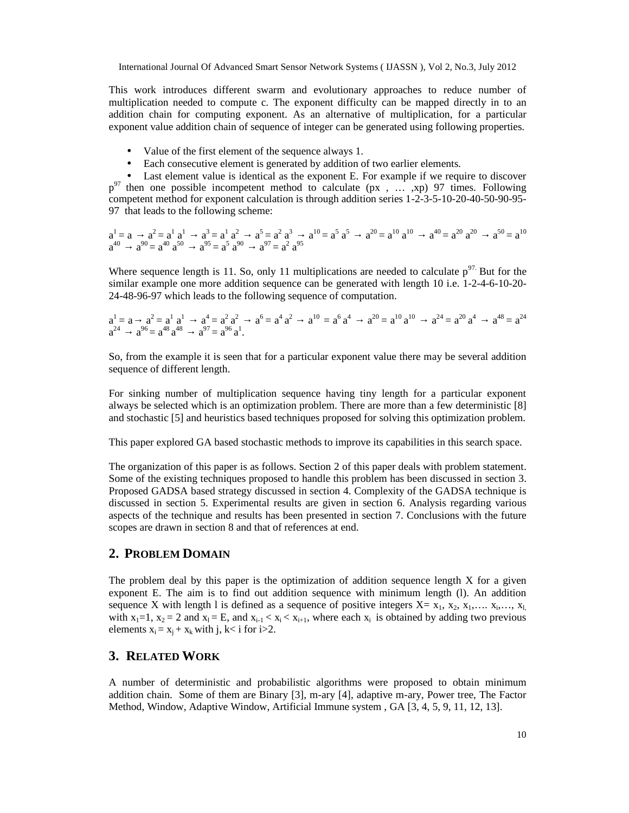This work introduces different swarm and evolutionary approaches to reduce number of multiplication needed to compute c. The exponent difficulty can be mapped directly in to an addition chain for computing exponent. As an alternative of multiplication, for a particular exponent value addition chain of sequence of integer can be generated using following properties.

- Value of the first element of the sequence always 1.
- Each consecutive element is generated by addition of two earlier elements.

Last element value is identical as the exponent E. For example if we require to discover  $p^{97}$  then one possible incompetent method to calculate (px , ... ,xp) 97 times. Following competent method for exponent calculation is through addition series 1-2-3-5-10-20-40-50-90-95- 97 that leads to the following scheme:

$$
\begin{array}{ccc}\na^1 = a & a^2 = a^1 \ a^1 & a^3 = a^1 \ a^2 & a^5 = a^2 \ a^3 & a^{10} = a^5 \ a^5 & a^{20} = a^{10} \ a^{10} & a^{40} = a^{20} \ a^{20} & a^{50} = a^{10} \ a^{60} & a^{70} = a^{60} \ a^{70} = a^{70} \ a^{70} = a^{70} \ a^{70} = a^{70} \ a^{70} = a^{70} \ a^{70} = a^{70} \ a^{70} = a^{70} \ a^{70} = a^{70} \ a^{70} = a^{70} \ a^{70} = a^{70} \ a^{70} = a^{70} \ a^{70} = a^{70} \ a^{70} = a^{70} \ a^{70} = a^{70} \ a^{70} = a^{70} \ a^{70} = a^{70} \ a^{70} = a^{70} \ a^{70} = a^{70} \ a^{70} = a^{70} \ a^{70} = a^{70} \ a^{70} = a^{70} \ a^{70} = a^{70} \ a^{70} = a^{70} \ a^{70} = a^{70} \ a^{70} = a^{70} \ a^{70} = a^{70} \ a^{70} = a^{70} \ a^{70} = a^{70} \ a^{70} = a^{70} \ a^{70} = a^{70} \ a^{70} = a^{70} \ a^{70} = a^{70} \ a^{70} = a^{70} \ a^{70} = a^{70} \ a^{70} = a^{70} \ a^{70} = a^{70} \ a^{70} = a^{70} \ a^{70} = a^{70} \ a^{70} = a^{70} \ a^{70} = a^{70} \ a^{70} = a^{70} \ a^{70} = a^{70} \ a^{70} = a^{70} \ a^{70} = a^{70} \ a^{70} = a^{70} \ a^{70} = a^{70} \ a^{70} = a^{70} \ a^{70} = a^{70} \ a^{70} = a^{70} \ a^{70} = a^{70} \ a^{70} = a^{70} \ a^{70} = a^{70} \ a^{70} = a^{70} \ a^{70} = a
$$

Where sequence length is 11. So, only 11 multiplications are needed to calculate  $p^{97}$ . But for the similar example one more addition sequence can be generated with length 10 i.e. 1-2-4-6-10-20- 24-48-96-97 which leads to the following sequence of computation.

$$
\begin{array}{ccc} a^1 = a & a^2 = a^1 \ a^1 & a^4 = a^2 \ a^2 & a^{6} = a^4 \ a^2 & a^{10} = a^6 \ a^4 & a^{20} = a^{10} \ a^{10} & a^{24} = a^{20} \ a^4 & a^{48} = a^{24} \ a^{96} = a^{18} \ a^{48} & a^{97} = a^{96} \ a^1. \end{array}
$$

So, from the example it is seen that for a particular exponent value there may be several addition sequence of different length.

For sinking number of multiplication sequence having tiny length for a particular exponent always be selected which is an optimization problem. There are more than a few deterministic [8] and stochastic [5] and heuristics based techniques proposed for solving this optimization problem.

This paper explored GA based stochastic methods to improve its capabilities in this search space.

The organization of this paper is as follows. Section 2 of this paper deals with problem statement. Some of the existing techniques proposed to handle this problem has been discussed in section 3. Proposed GADSA based strategy discussed in section 4. Complexity of the GADSA technique is discussed in section 5. Experimental results are given in section 6. Analysis regarding various aspects of the technique and results has been presented in section 7. Conclusions with the future scopes are drawn in section 8 and that of references at end.

# **2. PROBLEM DOMAIN**

The problem deal by this paper is the optimization of addition sequence length  $X$  for a given exponent E. The aim is to find out addition sequence with minimum length (l). An addition sequence X with length 1 is defined as a sequence of positive integers  $X = x_1, x_2, x_1, \ldots, x_i, \ldots, x_k$ with  $x_1=1$ ,  $x_2=2$  and  $x_1 = E$ , and  $x_{i-1} < x_i < x_{i+1}$ , where each  $x_i$  is obtained by adding two previous elements  $x_i = x_i + x_k$  with j, k i for i > 2.

### **3. RELATED WORK**

A number of deterministic and probabilistic algorithms were proposed to obtain minimum addition chain. Some of them are Binary [3], m-ary [4], adaptive m-ary, Power tree, The Factor Method, Window, Adaptive Window, Artificial Immune system , GA [3, 4, 5, 9, 11, 12, 13].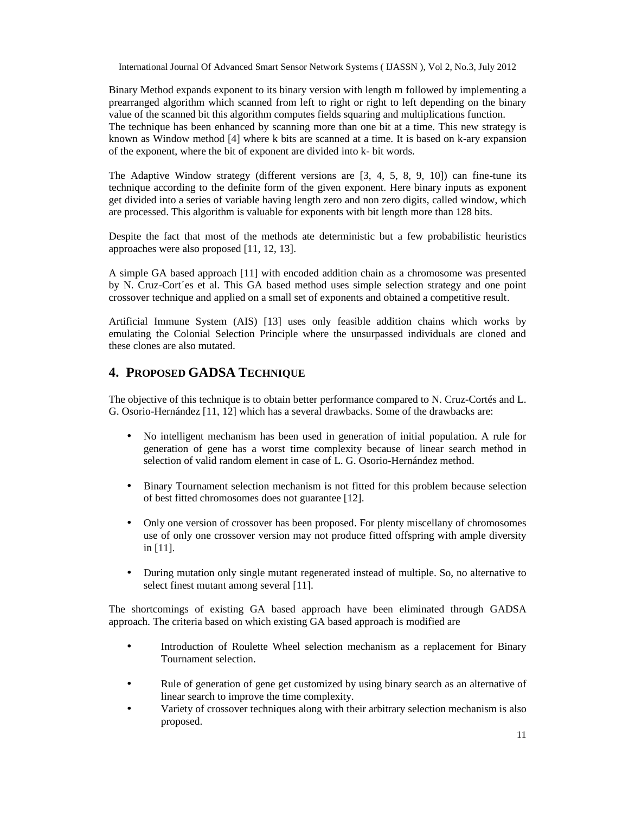Binary Method expands exponent to its binary version with length m followed by implementing a prearranged algorithm which scanned from left to right or right to left depending on the binary value of the scanned bit this algorithm computes fields squaring and multiplications function. The technique has been enhanced by scanning more than one bit at a time. This new strategy is known as Window method [4] where k bits are scanned at a time. It is based on k-ary expansion of the exponent, where the bit of exponent are divided into k- bit words.

The Adaptive Window strategy (different versions are  $[3, 4, 5, 8, 9, 10]$ ) can fine-tune its technique according to the definite form of the given exponent. Here binary inputs as exponent get divided into a series of variable having length zero and non zero digits, called window, which are processed. This algorithm is valuable for exponents with bit length more than 128 bits.

Despite the fact that most of the methods ate deterministic but a few probabilistic heuristics approaches were also proposed [11, 12, 13].

A simple GA based approach [11] with encoded addition chain as a chromosome was presented by N. Cruz-Cort´es et al. This GA based method uses simple selection strategy and one point crossover technique and applied on a small set of exponents and obtained a competitive result.

Artificial Immune System (AIS) [13] uses only feasible addition chains which works by emulating the Colonial Selection Principle where the unsurpassed individuals are cloned and these clones are also mutated.

# **4. PROPOSED GADSA TECHNIQUE**

The objective of this technique is to obtain better performance compared to N. Cruz-Cortés and L. G. Osorio-Hernández [11, 12] which has a several drawbacks. Some of the drawbacks are:

- No intelligent mechanism has been used in generation of initial population. A rule for generation of gene has a worst time complexity because of linear search method in selection of valid random element in case of L. G. Osorio-Hernández method.
- Binary Tournament selection mechanism is not fitted for this problem because selection of best fitted chromosomes does not guarantee [12].
- Only one version of crossover has been proposed. For plenty miscellany of chromosomes use of only one crossover version may not produce fitted offspring with ample diversity in [11].
- During mutation only single mutant regenerated instead of multiple. So, no alternative to select finest mutant among several [11].

The shortcomings of existing GA based approach have been eliminated through GADSA approach. The criteria based on which existing GA based approach is modified are

- Introduction of Roulette Wheel selection mechanism as a replacement for Binary Tournament selection.
- Rule of generation of gene get customized by using binary search as an alternative of linear search to improve the time complexity.
- Variety of crossover techniques along with their arbitrary selection mechanism is also proposed.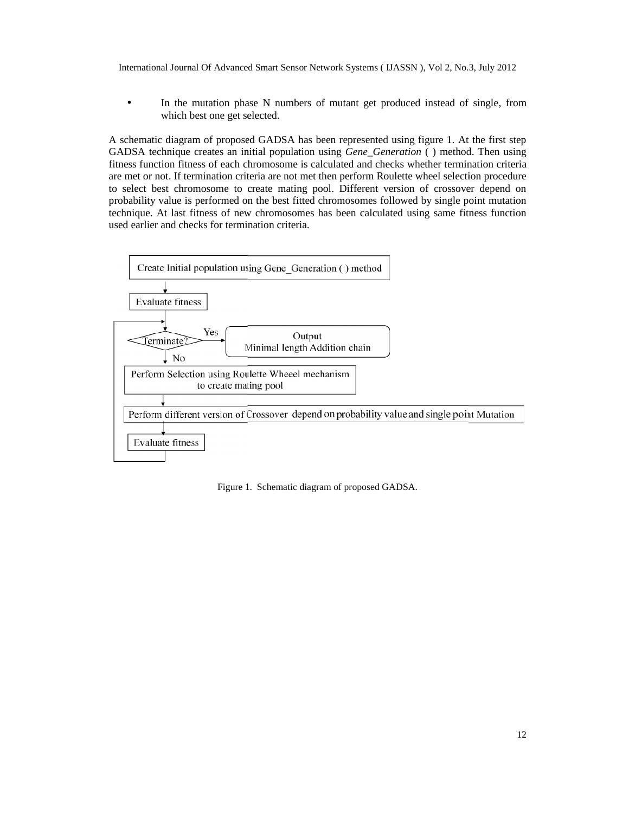In the mutation phase N numbers of mutant get produced instead of single, from which best one get selected.

A schematic diagram of proposed GADSA has been represented using figure 1. At the first step GADSA technique creates an initial population using *Gene\_Generation* () method. Then using fitness function fitness of each chromosome is calculated and checks whether termination criteria are met or not. If termination criteria are not met then perform Roulette wheel selection procedure are met or not. If termination criteria are not met then perform Roulette wheel selection procedure to select best chromosome to create mating pool. Different version of crossover depend on probability value is performed on the best fitted chromosomes followed by single point mutation technique. At last fitness of new chromosomes has been calculated using same fitness function used earlier and checks for termination criteria.



Figure 1. Schematic diagram of proposed GADSA.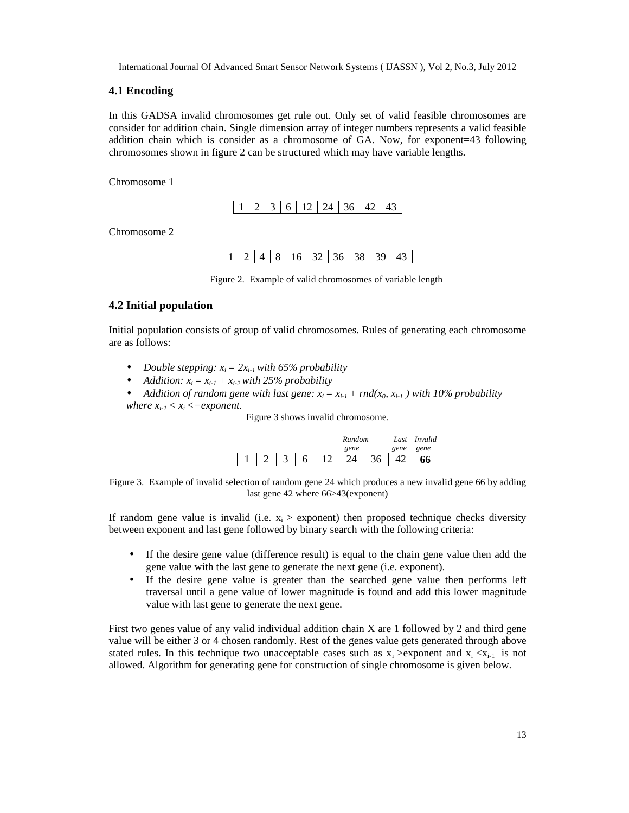### **4.1 Encoding**

In this GADSA invalid chromosomes get rule out. Only set of valid feasible chromosomes are consider for addition chain. Single dimension array of integer numbers represents a valid feasible addition chain which is consider as a chromosome of GA. Now, for exponent=43 following chromosomes shown in figure 2 can be structured which may have variable lengths.

Chromosome 1

| 1361<br>$\lambda$<br>12   2 |  |  |  |
|-----------------------------|--|--|--|

Chromosome 2

| $1 \mid 2 \mid 4 \mid 8 \mid 16 \mid 32 \mid 36 \mid 38 \mid 39 \mid 43$ |  |  |  |  |  |  |
|--------------------------------------------------------------------------|--|--|--|--|--|--|
|--------------------------------------------------------------------------|--|--|--|--|--|--|

Figure 2. Example of valid chromosomes of variable length

### **4.2 Initial population**

Initial population consists of group of valid chromosomes. Rules of generating each chromosome are as follows:

- *Double stepping: xi= 2xi-1with 65% probability*
- *Addition:*  $x_i = x_{i-1} + x_{i-2}$  *with 25% probability*
- *Addition of random gene with last gene:*  $x_i = x_{i-1} + \text{rnd}(x_0, x_{i-1})$  with 10% probability *where*  $x_{i-1} < x_i \leq$  *= exponent.*

Figure 3 shows invalid chromosome.

|  |   |   | Random |    |      | Invalid |
|--|---|---|--------|----|------|---------|
|  |   |   | gene   |    | gene | gene    |
|  | ت | 6 |        | 36 |      | 66      |

Figure 3. Example of invalid selection of random gene 24 which produces a new invalid gene 66 by adding last gene 42 where 66>43(exponent)

If random gene value is invalid (i.e.  $x_i$  > exponent) then proposed technique checks diversity between exponent and last gene followed by binary search with the following criteria:

- If the desire gene value (difference result) is equal to the chain gene value then add the gene value with the last gene to generate the next gene (i.e. exponent).
- If the desire gene value is greater than the searched gene value then performs left traversal until a gene value of lower magnitude is found and add this lower magnitude value with last gene to generate the next gene.

First two genes value of any valid individual addition chain X are 1 followed by 2 and third gene value will be either 3 or 4 chosen randomly. Rest of the genes value gets generated through above stated rules. In this technique two unacceptable cases such as  $x_i >$ exponent and  $x_i$   $x_{i-1}$  is not allowed. Algorithm for generating gene for construction of single chromosome is given below.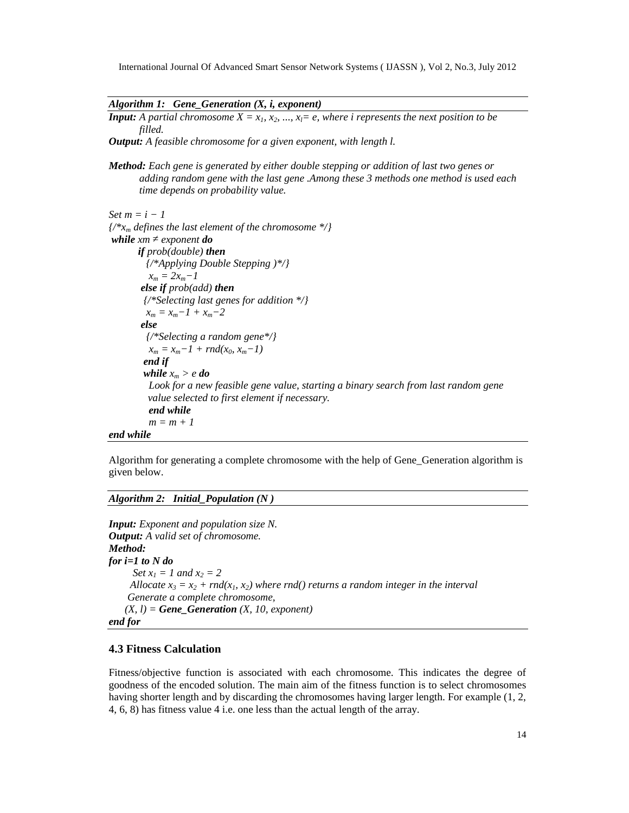*Algorithm 1: Gene\_Generation (X, i, exponent)*

*Input: A partial chromosome*  $X = x_1, x_2, ..., x_l = e$ , *where i represents the next position to be filled.*

*Output: A feasible chromosome for a given exponent, with length l.*

*Method: Each gene is generated by either double stepping or addition of last two genes or adding random gene with the last gene .Among these 3 methods one method is used each time depends on probability value.*

```
Set m = i - 1{/*xm defines the last element of the chromosome */}
while xm exponent do
      if prob(double) then
        {/*Applying Double Stepping )*/}
         x_m = 2x_m - 1else if prob(add) then
        {/*Selecting last genes for addition */}
        x_m = x_m - 1 + x_m - 2else
         {/*Selecting a random gene*/}
         x_m = x_m - 1 + rnd(x_0, x_m - 1)end if
        while x_m > e do
         Look for a new feasible gene value, starting a binary search from last random gene
         value selected to first element if necessary.
         end while
         m = m + 1end while
```
Algorithm for generating a complete chromosome with the help of Gene\_Generation algorithm is given below.

*Algorithm 2: Initial\_Population (N )*

```
Input: Exponent and population size N.
Output: A valid set of chromosome.
Method:
for i=1 to N do
     Set x_1 = 1 and x_2 = 2Allocate x_3 = x_2 + \text{rnd}(x_1, x_2) where rnd() returns a random integer in the interval
    Generate a complete chromosome,
    (X, l) = \text{Gene} Generation (X, l0, exponent)end for
```
# **4.3 Fitness Calculation**

Fitness/objective function is associated with each chromosome. This indicates the degree of goodness of the encoded solution. The main aim of the fitness function is to select chromosomes having shorter length and by discarding the chromosomes having larger length. For example (1, 2, 4, 6, 8) has fitness value 4 i.e. one less than the actual length of the array.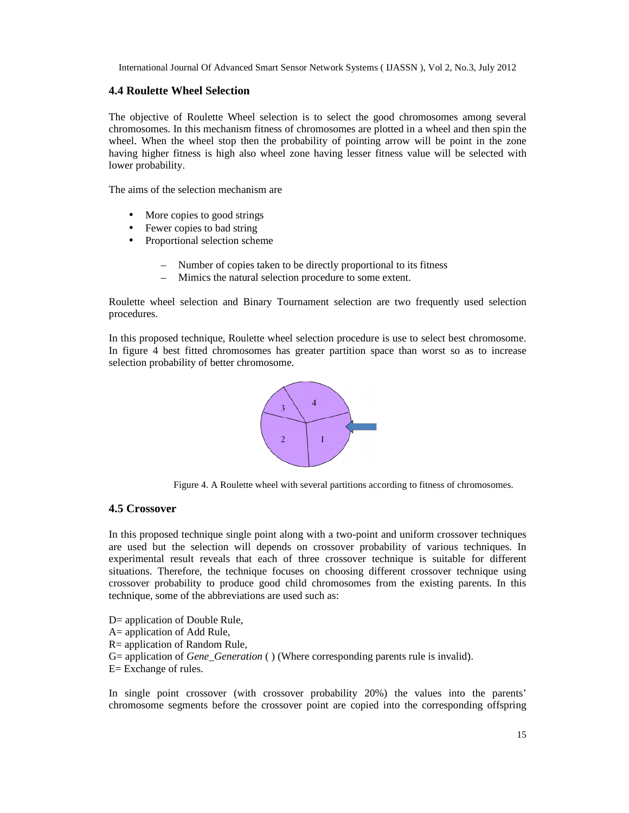# **4.4 Roulette Wheel Selection**

The objective of Roulette Wheel selection is to select the good chromosomes among several chromosomes. In this mechanism fitness of chromosomes are plotted in a wheel and then spin the chromosomes. In this mechanism fitness of chromosomes are plotted in a wheel and then spin the wheel. When the wheel stop then the probability of pointing arrow will be point in the zone having higher fitness is high also wheel zone having lesser fitness value will be selected with lower probability. itness is high also wheel zone having lesser fitness value will be y.<br>Selection mechanism are<br>ppies to good strings<br>copies to bad string<br>ional selection scheme<br>Number of copies taken to be directly proportional to its fitn

The aims of the selection mechanism are

- More copies to good strings
- Fewer copies to bad string
- Proportional selection scheme
	- Number of copies taken to be directly proportional to its fitness
	- Mimics the natural selection procedure to some extent.

Roulette wheel selection and Binary Tournament selection are two frequently used selection procedures. Roulette wheel selection and Binary Tournament selection are two frequently used selection<br>procedures.<br>In this proposed technique, Roulette wheel selection procedure is use to select best chromosome.

In figure 4 best fitted chromosomes has greater partition space than worst so as to increase selection probability of better chromosome.



Figure 4. A Roulette wheel with several partitions according to fitness of chromosomes.

# **4.5 Crossover**

In this proposed technique single point along with a two-point and uniform crossover techniques are used but the selection will depends on crossover probability of various techniques. In experimental result reveals that each of three crossover technique is suitable for different experimental result reveals that each of three crossover technique is suitable for different situations. Therefore, the technique focuses on choosing different crossover technique using crossover probability to produce good child chromosomes from the existing parents. In this technique, some of the abbreviations are used such as: **Roulette Wheel Selection**<br> **Abjudite Wheel selection is to select the good chromosones among several<br>
mechanism fitness of chromosones are piorted in a wheel and then spin techniques<br>
<b>Algorithmy**<br> **Algorithmy**<br> **EVERT (F** 

- D= application of Double Rule,
- A= application of Add Rule,
- R= application of Random Rule,
- Fechnique, some of the abbreviations are used such as:<br>
D= application of Double Rule,<br>
A= application of Add Rule,<br>
R= application of Random Rule,<br>
G= application of *Gene\_Generation* ( ) (Where corresponding parents rule
- E= Exchange of rules.

In single point crossover (with crossover probability 20%) the values into the parents' he parents' chromosome segments before the crossover point are copied into the corresponding offspring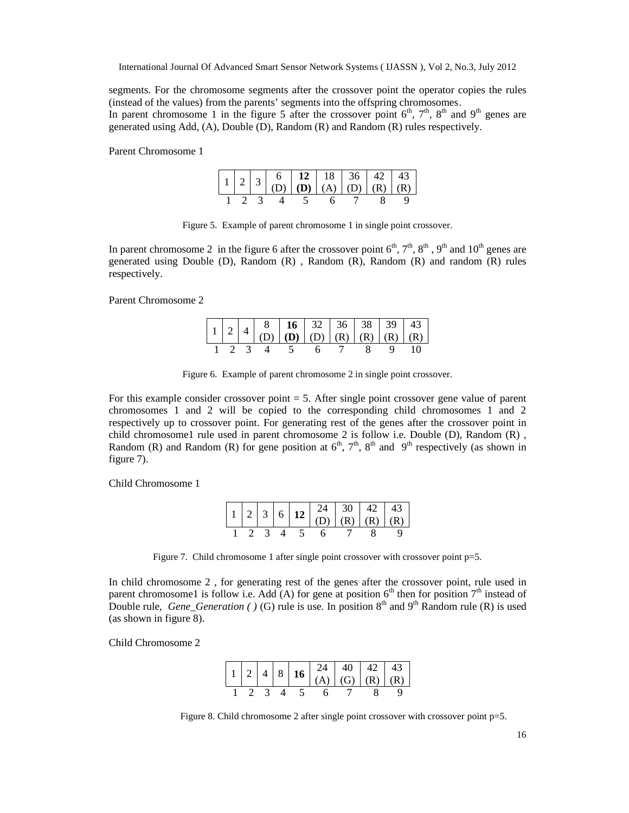segments. For the chromosome segments after the crossover point the operator copies the rules (instead of the values) from the parents' segments into the offspring chromosomes. In parent chromosome 1 in the figure 5 after the crossover point  $6<sup>th</sup>$ ,  $7<sup>th</sup>$ ,  $8<sup>th</sup>$  and  $9<sup>th</sup>$  genes are generated using Add, (A), Double (D), Random (R) and Random (R) rules respectively.

Parent Chromosome 1

|  |  |  |                   | $\begin{array}{ c c c c c c c c } \hline 1 & 2 & 3 & 6 & 12 & 18 & 36 & 42 & 43 \\ \hline (D) & (D) & (A) & (D) & (R) & (R) & (R) \\ \hline \end{array}$ |
|--|--|--|-------------------|----------------------------------------------------------------------------------------------------------------------------------------------------------|
|  |  |  | 1 2 3 4 5 6 7 8 9 |                                                                                                                                                          |

Figure 5. Example of parent chromosome 1 in single point crossover.

In parent chromosome 2 in the figure 6 after the crossover point  $6<sup>th</sup>$ ,  $7<sup>th</sup>$ ,  $8<sup>th</sup>$ ,  $9<sup>th</sup>$  and  $10<sup>th</sup>$  genes are generated using Double (D), Random (R) , Random (R), Random (R) and random (R) rules respectively.

Parent Chromosome 2

|  |                      |  |  | $\begin{array}{ c c c c c c c c } \hline 1 & 2 & 4 & 8 & \textbf{16} & \textbf{32} & \textbf{36} & \textbf{38} & \textbf{39} & \textbf{43} \\ \hline \textbf{(D)} & \textbf{(D)} & \textbf{(D)} & \textbf{(D)} & \textbf{(R)} & \textbf{(R)} & \textbf{(R)} & \textbf{(R)} \\ \hline \end{array}$ |
|--|----------------------|--|--|---------------------------------------------------------------------------------------------------------------------------------------------------------------------------------------------------------------------------------------------------------------------------------------------------|
|  |                      |  |  |                                                                                                                                                                                                                                                                                                   |
|  | 1 2 3 4 5 6 7 8 9 10 |  |  |                                                                                                                                                                                                                                                                                                   |

Figure 6. Example of parent chromosome 2 in single point crossover.

For this example consider crossover point  $= 5$ . After single point crossover gene value of parent chromosomes 1 and 2 will be copied to the corresponding child chromosomes 1 and 2 respectively up to crossover point. For generating rest of the genes after the crossover point in child chromosome1 rule used in parent chromosome 2 is follow i.e. Double (D), Random (R) , Random (R) and Random (R) for gene position at  $6<sup>th</sup>$ ,  $7<sup>th</sup>$ ,  $8<sup>th</sup>$  and  $9<sup>th</sup>$  respectively (as shown in figure 7).

Child Chromosome 1

|  |  |                   |  |  | $\begin{array}{ c c c c c c c c } \hline 1 & 2 & 3 & 6 & \textbf{12} & \textbf{24} & \textbf{30} & \textbf{42} & \textbf{43} \\ \hline \textbf{12} & \textbf{0} & \textbf{0} & \textbf{0} & \textbf{0} & \textbf{0} \end{array}$ |
|--|--|-------------------|--|--|----------------------------------------------------------------------------------------------------------------------------------------------------------------------------------------------------------------------------------|
|  |  | 1 2 3 4 5 6 7 8 9 |  |  |                                                                                                                                                                                                                                  |

Figure 7. Child chromosome 1 after single point crossover with crossover point p=5.

In child chromosome 2 , for generating rest of the genes after the crossover point, rule used in parent chromosome1 is follow i.e. Add (A) for gene at position  $6<sup>th</sup>$  then for position  $7<sup>th</sup>$  instead of Double rule, *Gene Generation ( )* (G) rule is use. In position  $8<sup>th</sup>$  and  $9<sup>th</sup>$  Random rule (R) is used (as shown in figure 8).

Child Chromosome 2

|  |  | $\begin{array}{ c c c c c c c c } \hline 1 & 2 & 4 & 8 & 16 & 24 & 40 & 42 & 43 \ \hline (A) & (G) & (R) & (R) & (R) & \ \hline \end{array}$ |  |  |
|--|--|----------------------------------------------------------------------------------------------------------------------------------------------|--|--|
|  |  |                                                                                                                                              |  |  |
|  |  |                                                                                                                                              |  |  |

Figure 8. Child chromosome 2 after single point crossover with crossover point p=5.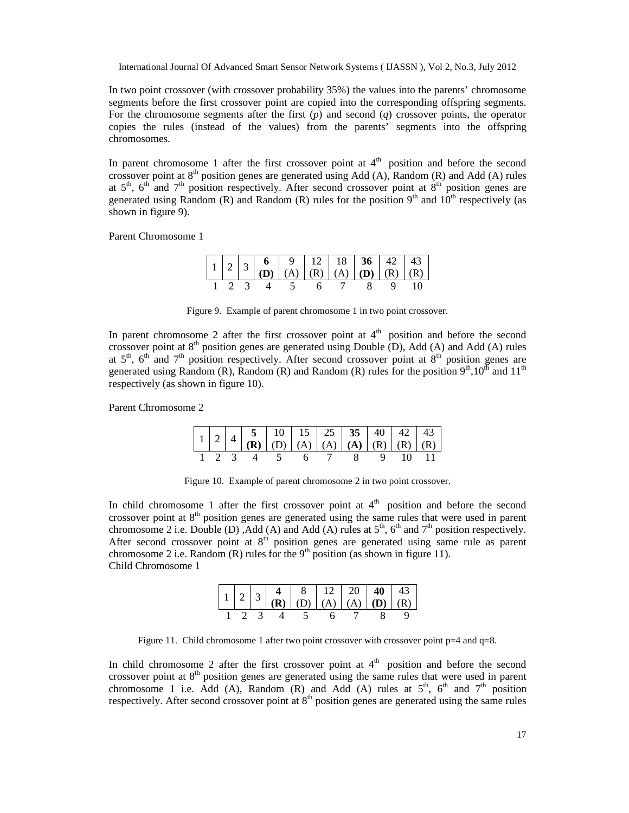In two point crossover (with crossover probability 35%) the values into the parents' chromosome segments before the first crossover point are copied into the corresponding offspring segments. For the chromosome segments after the first  $(p)$  and second  $(q)$  crossover points, the operator copies the rules (instead of the values) from the parents' segments into the offspring chromosomes.

In parent chromosome 1 after the first crossover point at  $4<sup>th</sup>$  position and before the second crossover point at  $8<sup>th</sup>$  position genes are generated using Add (A), Random (R) and Add (A) rules at  $5<sup>th</sup>$ ,  $6<sup>th</sup>$  and  $7<sup>th</sup>$  position respectively. After second crossover point at  $8<sup>th</sup>$  position genes are generated using Random (R) and Random (R) rules for the position  $9<sup>th</sup>$  and  $10<sup>th</sup>$  respectively (as shown in figure 9).

Parent Chromosome 1

|  |  |  | $\begin{array}{ c c c c c c c c } \hline 1 & 2 & 3 & 6 & 9 & 12 & 18 & 36 & 42 & 43 \\ \hline \textbf{(D)} & \textbf{(A)} & \textbf{(R)} & \textbf{(A)} & \textbf{(D)} & \textbf{(R)} & \textbf{(R)} \\\hline \end{array}$ |  |  |
|--|--|--|----------------------------------------------------------------------------------------------------------------------------------------------------------------------------------------------------------------------------|--|--|
|  |  |  |                                                                                                                                                                                                                            |  |  |
|  |  |  | 1 2 3 4 5 6 7 8 9 10                                                                                                                                                                                                       |  |  |

Figure 9. Example of parent chromosome 1 in two point crossover.

In parent chromosome 2 after the first crossover point at  $4<sup>th</sup>$  position and before the second crossover point at  $8<sup>th</sup>$  position genes are generated using Double (D), Add (A) and Add (A) rules at  $5<sup>th</sup>$ ,  $6<sup>th</sup>$  and  $7<sup>th</sup>$  position respectively. After second crossover point at  $8<sup>th</sup>$  position genes are generated using Random (R), Random (R) and Random (R) rules for the position  $9<sup>th</sup>$ ,  $10<sup>th</sup>$  and  $11<sup>th</sup>$ respectively (as shown in figure 10).

Parent Chromosome 2

| $\begin{array}{ c c c c c c c c c } \hline 1 & 2 & 4 & 5 & 10 & 15 & 25 & 35 & 40 & 42 & 43 \ \hline (R) & (D) & (A) & (A) & (A) & (R) & (R) & (R) \ \hline \end{array}$ |  |                         |  |  |  |  |
|--------------------------------------------------------------------------------------------------------------------------------------------------------------------------|--|-------------------------|--|--|--|--|
|                                                                                                                                                                          |  | 1 2 3 4 5 6 7 8 9 10 11 |  |  |  |  |

Figure 10. Example of parent chromosome 2 in two point crossover.

In child chromosome 1 after the first crossover point at  $4<sup>th</sup>$  position and before the second crossover point at  $8<sup>th</sup>$  position genes are generated using the same rules that were used in parent chromosome 2 i.e. Double (D), Add (A) and Add (A) rules at  $5<sup>th</sup>$ ,  $6<sup>th</sup>$  and  $7<sup>th</sup>$  position respectively. After second crossover point at  $8<sup>th</sup>$  position genes are generated using same rule as parent chromosome 2 i.e. Random (R) rules for the  $9<sup>th</sup>$  position (as shown in figure 11). Child Chromosome 1

|  |  |                   |  |  |  | $\begin{bmatrix} 1 & 2 & 3 & 4 & 8 & 12 & 20 & 40 & 43 \ \textbf{(R)} & \textbf{(D)} & \textbf{(A)} & \textbf{(A)} & \textbf{(D)} & \textbf{(R)} \ \end{bmatrix}$ |
|--|--|-------------------|--|--|--|-------------------------------------------------------------------------------------------------------------------------------------------------------------------|
|  |  | 1 2 3 4 5 6 7 8 9 |  |  |  |                                                                                                                                                                   |

Figure 11. Child chromosome 1 after two point crossover with crossover point p=4 and q=8.

In child chromosome 2 after the first crossover point at  $4<sup>th</sup>$  position and before the second crossover point at  $8<sup>th</sup>$  position genes are generated using the same rules that were used in parent chromosome 1 i.e. Add (A), Random (R) and Add (A) rules at  $5<sup>th</sup>$ ,  $6<sup>th</sup>$  and  $7<sup>th</sup>$  position respectively. After second crossover point at  $8<sup>th</sup>$  position genes are generated using the same rules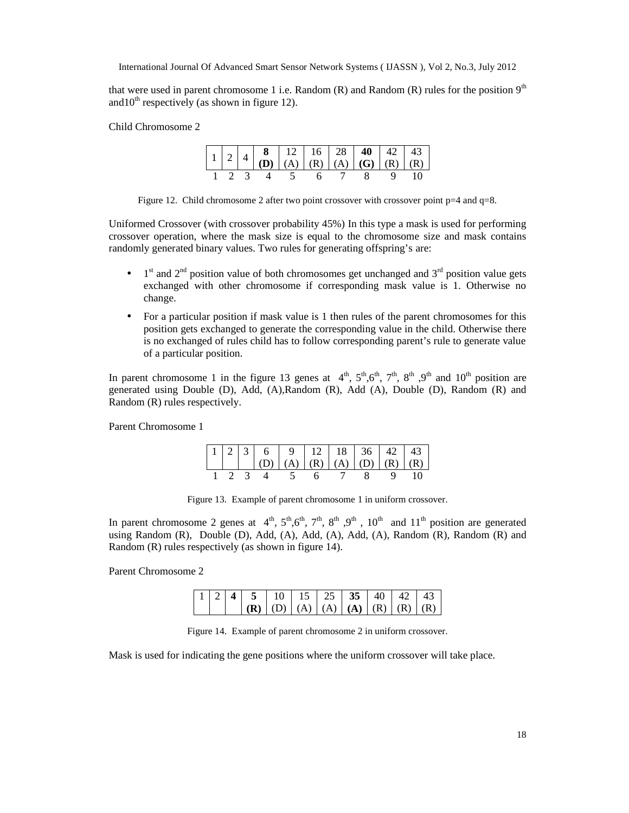that were used in parent chromosome 1 i.e. Random  $(R)$  and Random  $(R)$  rules for the position  $9<sup>th</sup>$ and  $10^{th}$  respectively (as shown in figure 12).

Child Chromosome 2

|  |  |  | $\begin{bmatrix} 1 & 2 & 4 & 8 & 12 \\ 0 & 0 & 0 & 0 \end{bmatrix}$ (A) $\begin{bmatrix} 16 & 28 & 40 \\ 0 & 0 & 0 \end{bmatrix}$ (B) $\begin{bmatrix} 43 & 43 \\ 0 & 0 & 0 \end{bmatrix}$ |  |
|--|--|--|--------------------------------------------------------------------------------------------------------------------------------------------------------------------------------------------|--|
|  |  |  |                                                                                                                                                                                            |  |
|  |  |  | 1 2 3 4 5 6 7 8 9 10                                                                                                                                                                       |  |

Figure 12. Child chromosome 2 after two point crossover with crossover point  $p=4$  and  $q=8$ .

Uniformed Crossover (with crossover probability 45%) In this type a mask is used for performing crossover operation, where the mask size is equal to the chromosome size and mask contains randomly generated binary values. Two rules for generating offspring's are:

- $\bullet$  1<sup>st</sup> and 2<sup>nd</sup> position value of both chromosomes get unchanged and 3<sup>rd</sup> position value gets exchanged with other chromosome if corresponding mask value is 1. Otherwise no change.
- For a particular position if mask value is 1 then rules of the parent chromosomes for this position gets exchanged to generate the corresponding value in the child. Otherwise there is no exchanged of rules child has to follow corresponding parent's rule to generate value of a particular position.

In parent chromosome 1 in the figure 13 genes at  $4<sup>th</sup>$ ,  $5<sup>th</sup>$ ,  $6<sup>th</sup>$ ,  $7<sup>th</sup>$ ,  $8<sup>th</sup>$ ,  $9<sup>th</sup>$  and  $10<sup>th</sup>$  position are generated using Double (D), Add, (A),Random (R), Add (A), Double (D), Random (R) and Random (R) rules respectively.

Parent Chromosome 1

|  |  |  | $\begin{bmatrix} 1 & 2 & 3 & 6 & 9 & 12 & 18 & 36 & 42 & 43 \ (D) & (A) & (R) & (A) & (D) & (R) & (R) \end{bmatrix}$ |  |  |
|--|--|--|----------------------------------------------------------------------------------------------------------------------|--|--|
|  |  |  | 1 2 3 4 5 6 7 8 9 10                                                                                                 |  |  |

Figure 13. Example of parent chromosome 1 in uniform crossover.

In parent chromosome 2 genes at  $4^{\text{th}}$ ,  $5^{\text{th}}$ ,  $6^{\text{th}}$ ,  $7^{\text{th}}$ ,  $8^{\text{th}}$ ,  $9^{\text{th}}$ ,  $10^{\text{th}}$  and  $11^{\text{th}}$  position are generated using Random (R), Double (D), Add, (A), Add, (A), Add, (A), Random (R), Random (R) and Random (R) rules respectively (as shown in figure 14).

Parent Chromosome 2

|  | $1 \mid 2 \mid 4 \mid 5 \mid 10 \mid 15 \mid 25 \mid 35 \mid 40 \mid 42 \mid 43$ |  |  |  |  |
|--|----------------------------------------------------------------------------------|--|--|--|--|
|  | $ (R)   (D)   (A)   (A)   (A)   (R)   (R)   (R)$                                 |  |  |  |  |

Figure 14. Example of parent chromosome 2 in uniform crossover.

Mask is used for indicating the gene positions where the uniform crossover will take place.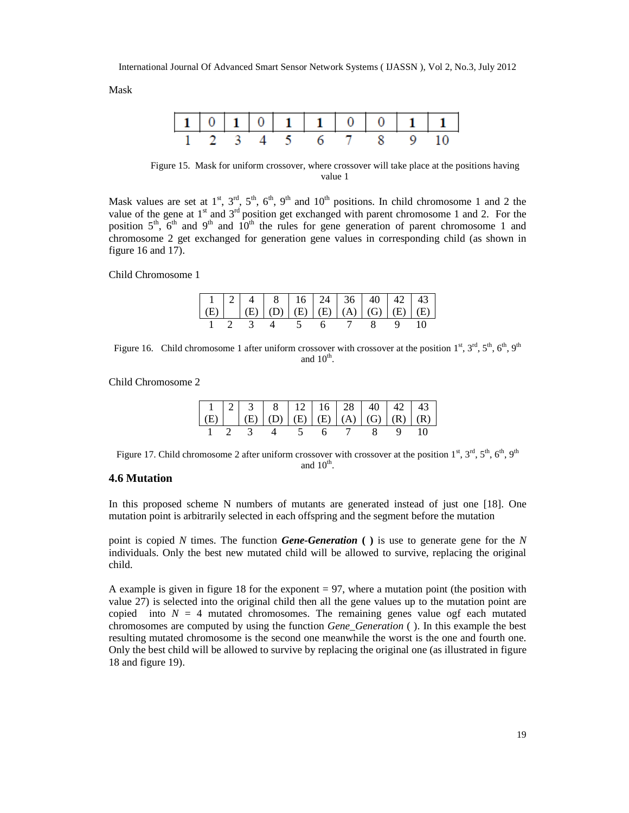Mask



Figure 15. Mask for uniform crossover, where crossover will take place at the positions having value 1

Mask values are set at  $1^{st}$ ,  $3^{rd}$ ,  $5^{th}$ ,  $6^{th}$ ,  $9^{th}$  and  $10^{th}$  positions. In child chromosome 1 and 2 the value of the gene at  $1<sup>st</sup>$  and  $3<sup>rd</sup>$  position get exchanged with parent chromosome 1 and 2. For the position  $5<sup>th</sup>$ ,  $6<sup>th</sup>$  and  $9<sup>th</sup>$  and  $10<sup>th</sup>$  the rules for gene generation of parent chromosome 1 and chromosome 2 get exchanged for generation gene values in corresponding child (as shown in figure 16 and 17).

Child Chromosome 1

|  |  |  | $\begin{array}{ c c c c c c c c } \hline 1 & 2 & 4 & 8 & 16 & 24 & 36 & 40 & 42 & 43 \ \hline (E) & (E) & (D) & (E) & (E) & (A) & (G) & (E) & (E) \ \hline \end{array}$ |  |
|--|--|--|-------------------------------------------------------------------------------------------------------------------------------------------------------------------------|--|
|  |  |  | 1 2 3 4 5 6 7 8 9 10                                                                                                                                                    |  |

Figure 16. Child chromosome 1 after uniform crossover with crossover at the position  $1^{\text{st}}, 3^{\text{rd}}, 5^{\text{th}}, 6^{\text{th}}, 9^{\text{th}}$ and  $10^{\text{th}}$ .

Child Chromosome 2

|  |  |  | $\begin{bmatrix} 1 & 2 & 3 \\ (E) & (E) & (D) \end{bmatrix}$ $\begin{bmatrix} 8 & 12 \\ (E) & (E) \end{bmatrix}$ $\begin{bmatrix} 16 & 28 & 40 \\ (A) & (G) & (R) \end{bmatrix}$ $\begin{bmatrix} 42 & 43 \\ (R) & (R) \end{bmatrix}$ |  |  |
|--|--|--|---------------------------------------------------------------------------------------------------------------------------------------------------------------------------------------------------------------------------------------|--|--|
|  |  |  | 1 2 3 4 5 6 7 8 9 10                                                                                                                                                                                                                  |  |  |

Figure 17. Child chromosome 2 after uniform crossover with crossover at the position  $1^{st}$ ,  $3^{rd}$ ,  $5^{th}$ ,  $6^{th}$ ,  $9^{th}$ and  $10^{\text{th}}$ .

#### **4.6 Mutation**

In this proposed scheme N numbers of mutants are generated instead of just one [18]. One mutation point is arbitrarily selected in each offspring and the segment before the mutation

point is copied *N* times. The function *Gene-Generation* **( )** is use to generate gene for the *N* individuals. Only the best new mutated child will be allowed to survive, replacing the original child.

A example is given in figure 18 for the exponent  $= 97$ , where a mutation point (the position with value 27) is selected into the original child then all the gene values up to the mutation point are copied into  $N = 4$  mutated chromosomes. The remaining genes value ogf each mutated chromosomes are computed by using the function *Gene\_Generation* ( ). In this example the best resulting mutated chromosome is the second one meanwhile the worst is the one and fourth one. Only the best child will be allowed to survive by replacing the original one (as illustrated in figure 18 and figure 19).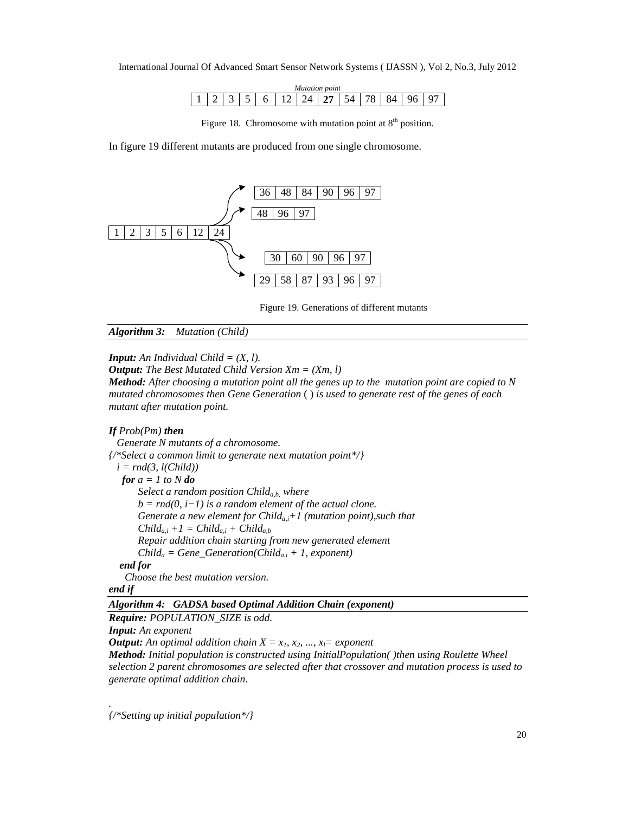| uni |  |  |                            |             |  |  |  |  |        |  |  |   |
|-----|--|--|----------------------------|-------------|--|--|--|--|--------|--|--|---|
|     |  |  | $\tilde{\phantom{a}}$<br>ٮ | -<br>n<br>ັ |  |  |  |  | A<br>ັ |  |  | u |

Figure 18. Chromosome with mutation point at  $8<sup>th</sup>$  position.

In figure 19 different mutants are produced from one single chromosome.



Figure 19. Generations of different mutants

*Algorithm 3: Mutation (Child)*

*<i>Input:* An *Individual Child*  $= (X, l)$ *.* 

*Output: The Best Mutated Child Version Xm = (Xm, l)*

*Method: After choosing a mutation point all the genes up to the mutation point are copied to N mutated chromosomes then Gene Generation* ( ) *is used to generate rest of the genes of each mutant after mutation point.*

#### *If Prob(Pm) then*

*Generate N mutants of a chromosome. {/\*Select a common limit to generate next mutation point\*/}*  $i = rnd(3, l(Child))$ *for*  $a = 1$  *to*  $N$  *do Select a random position Childa,b, where b = rnd(0, i−1) is a random element of the actual clone. Generate a new element for Childa,i+1 (mutation point),such that*  $Child_{a,i} +1 = Child_{a,i} + Child_{a,b}$ *Repair addition chain starting from new generated element*  $Child_a = Gene\_Generation(Child_{a,i} + 1, exponent)$ *end for Choose the best mutation version. end if*

# *Algorithm 4: GADSA based Optimal Addition Chain (exponent)*

*Require: POPULATION\_SIZE is odd.*

*Input: An exponent*

*.*

*Output: An optimal addition chain*  $X = x_1, x_2, ..., x_l = exponent$ 

*Method: Initial population is constructed using InitialPopulation( )then using Roulette Wheel selection 2 parent chromosomes are selected after that crossover and mutation process is used to generate optimal addition chain.*

*{/\*Setting up initial population\*/}*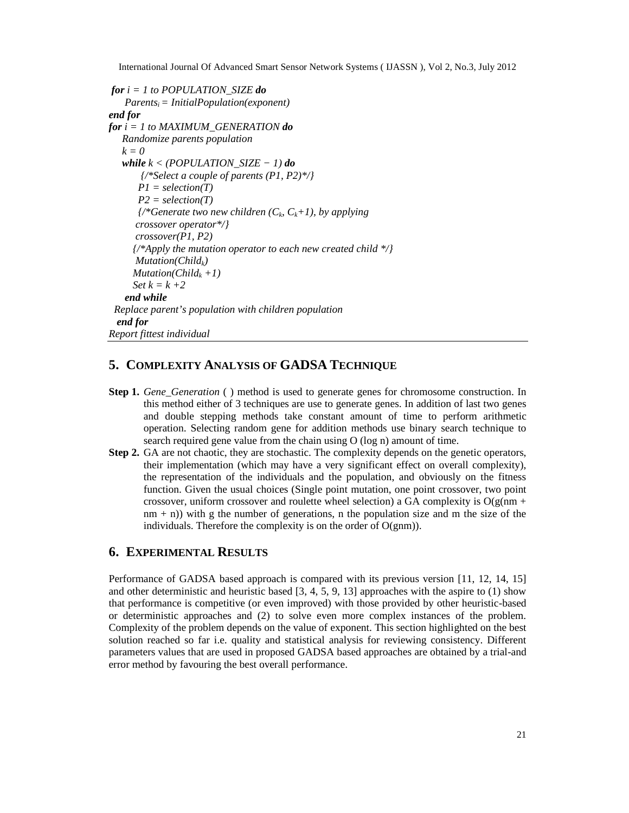```
for i = 1 to POPULATION_SIZE do
   Parentsi= InitialPopulation(exponent)
end for
for i = 1 to MAXIMUM_GENERATION do
   Randomize parents population
   k = 0
   while k < (POPULATION_SIZE − 1) do
       {/*Select a couple of parents (P1, P2)*/}
      P1 = selection(T)
      P2 = selection(T)
       \frac{1}{8} (*Generate two new children (C_k, C_k+1), by applying
      crossover operator*/}
      crossover(P1, P2)
     {/*Apply the mutation operator to each new created child */}
      Mutation(Childk)
     Mutation(Childk +1)
     Set k = k + 2end while
 Replace parent's population with children population
 end for
Report fittest individual
```
# **5. COMPLEXITY ANALYSIS OF GADSA TECHNIQUE**

- **Step 1.** *Gene* Generation ( ) method is used to generate genes for chromosome construction. In this method either of 3 techniques are use to generate genes. In addition of last two genes and double stepping methods take constant amount of time to perform arithmetic operation. Selecting random gene for addition methods use binary search technique to search required gene value from the chain using O (log n) amount of time.
- **Step 2.** GA are not chaotic, they are stochastic. The complexity depends on the genetic operators, their implementation (which may have a very significant effect on overall complexity), the representation of the individuals and the population, and obviously on the fitness function. Given the usual choices (Single point mutation, one point crossover, two point crossover, uniform crossover and roulette wheel selection) a GA complexity is  $O(g(nm +$  $nm + n$ )) with g the number of generations, n the population size and m the size of the individuals. Therefore the complexity is on the order of O(gnm)).

# **6. EXPERIMENTAL RESULTS**

Performance of GADSA based approach is compared with its previous version [11, 12, 14, 15] and other deterministic and heuristic based [3, 4, 5, 9, 13] approaches with the aspire to (1) show that performance is competitive (or even improved) with those provided by other heuristic-based or deterministic approaches and (2) to solve even more complex instances of the problem. Complexity of the problem depends on the value of exponent. This section highlighted on the best solution reached so far i.e. quality and statistical analysis for reviewing consistency. Different parameters values that are used in proposed GADSA based approaches are obtained by a trial-and error method by favouring the best overall performance.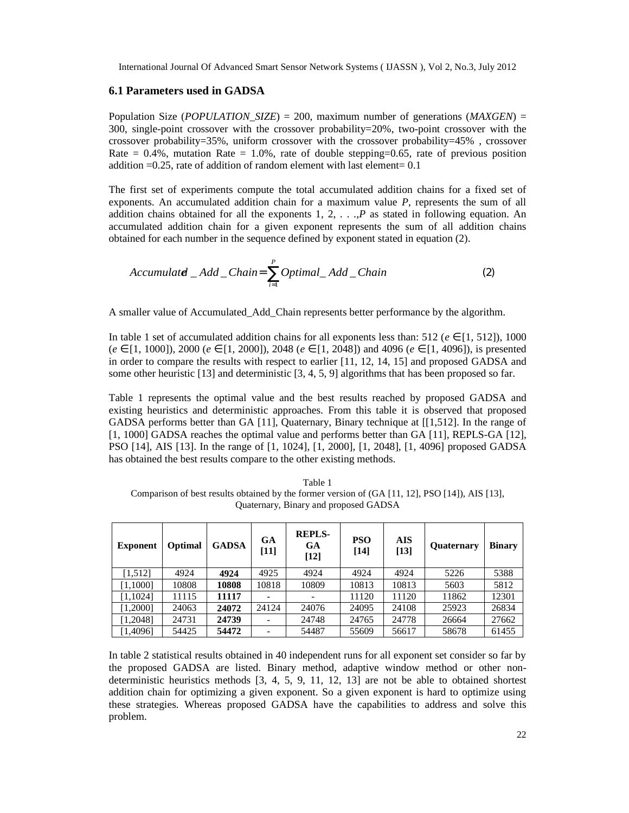#### **6.1 Parameters used in GADSA**

Population Size (*POPULATION\_SIZE*) = 200, maximum number of generations (*MAXGEN*) = 300, single-point crossover with the crossover probability=20%, two-point crossover with the crossover probability=35%, uniform crossover with the crossover probability=45% , crossover Rate =  $0.4\%$ , mutation Rate =  $1.0\%$ , rate of double stepping= $0.65$ , rate of previous position addition  $=0.25$ , rate of addition of random element with last element= 0.1

The first set of experiments compute the total accumulated addition chains for a fixed set of exponents. An accumulated addition chain for a maximum value *P*, represents the sum of all addition chains obtained for all the exponents  $1, 2, \ldots, P$  as stated in following equation. An accumulated addition chain for a given exponent represents the sum of all addition chains obtained for each number in the sequence defined by exponent stated in equation (2).

$$
Accumulated\_Add\_Chain = \sum_{i=1}^{P} Optimal\_Add\_Chain
$$
 (2)

A smaller value of Accumulated\_Add\_Chain represents better performance by the algorithm.

In table 1 set of accumulated addition chains for all exponents less than: 512 (*e* [1*,* 512]), 1000 (*e* [1*,* 1000]), 2000 (*e* [1*,* 2000]), 2048 (*e* [1*,* 2048]) and 4096 (*e* [1*,* 4096]), is presented in order to compare the results with respect to earlier [11, 12, 14, 15] and proposed GADSA and some other heuristic [13] and deterministic [3, 4, 5, 9] algorithms that has been proposed so far.

Table 1 represents the optimal value and the best results reached by proposed GADSA and existing heuristics and deterministic approaches. From this table it is observed that proposed GADSA performs better than GA [11], Quaternary, Binary technique at [[1,512]. In the range of [1, 1000] GADSA reaches the optimal value and performs better than GA [11], REPLS-GA [12], PSO [14], AIS [13]. In the range of [1, 1024], [1, 2000], [1, 2048], [1, 4096] proposed GADSA has obtained the best results compare to the other existing methods.

Table 1 Comparison of best results obtained by the former version of (GA [11, 12], PSO [14]), AIS [13], Quaternary, Binary and proposed GADSA

| <b>Exponent</b> | Optimal | <b>GADSA</b> | <b>GA</b><br>$[11]$ | <b>REPLS-</b><br><b>GA</b><br>$\lceil 12 \rceil$ | <b>PSO</b><br>$[14]$ | <b>AIS</b><br>$\lceil 13 \rceil$ | <b>Quaternary</b> | <b>Binary</b> |
|-----------------|---------|--------------|---------------------|--------------------------------------------------|----------------------|----------------------------------|-------------------|---------------|
| [1,512]         | 4924    | 4924         | 4925                | 4924                                             | 4924                 | 4924                             | 5226              | 5388          |
| [1,1000]        | 10808   | 10808        | 10818               | 10809                                            | 10813                | 10813                            | 5603              | 5812          |
| [1,1024]        | 11115   | 11117        |                     |                                                  | 11120                | 11120                            | 11862             | 12301         |
| [1,2000]        | 24063   | 24072        | 24124               | 24076                                            | 24095                | 24108                            | 25923             | 26834         |
| [1,2048]        | 24731   | 24739        |                     | 24748                                            | 24765                | 24778                            | 26664             | 27662         |
| [1,4096]        | 54425   | 54472        |                     | 54487                                            | 55609                | 56617                            | 58678             | 61455         |

In table 2 statistical results obtained in 40 independent runs for all exponent set consider so far by the proposed GADSA are listed. Binary method, adaptive window method or other nondeterministic heuristics methods [3, 4, 5, 9, 11, 12, 13] are not be able to obtained shortest addition chain for optimizing a given exponent. So a given exponent is hard to optimize using these strategies. Whereas proposed GADSA have the capabilities to address and solve this problem.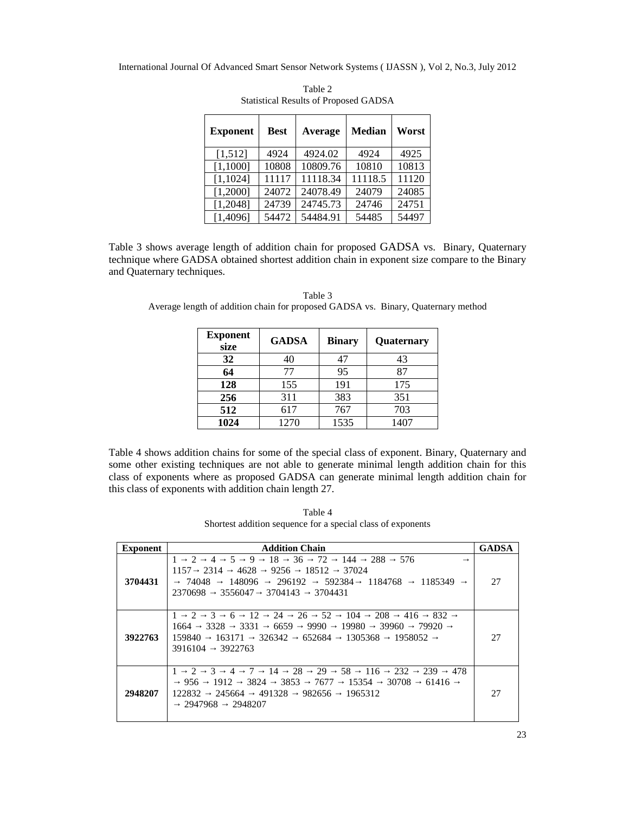| <b>Exponent</b> | <b>Best</b> | Average  | <b>Median</b> | Worst |
|-----------------|-------------|----------|---------------|-------|
| [1,512]         | 4924        | 4924.02  | 4924          | 4925  |
| [1,1000]        | 10808       | 10809.76 | 10810         | 10813 |
| [1, 1024]       | 11117       | 11118.34 | 11118.5       | 11120 |
| [1,2000]        | 24072       | 24078.49 | 24079         | 24085 |
| [1,2048]        | 24739       | 24745.73 | 24746         | 24751 |
| [1,4096]        | 54472       | 54484.91 | 54485         | 54497 |

Table 2 Statistical Results of Proposed GADSA

Table 3 shows average length of addition chain for proposed GADSA vs. Binary, Quaternary technique where GADSA obtained shortest addition chain in exponent size compare to the Binary and Quaternary techniques.

| Table 3                                                                           |  |
|-----------------------------------------------------------------------------------|--|
| Average length of addition chain for proposed GADSA vs. Binary, Quaternary method |  |

| <b>Exponent</b><br>size | <b>GADSA</b> | <b>Binary</b> | Quaternary |
|-------------------------|--------------|---------------|------------|
| 32                      | 40           | 47            | 43         |
| 64                      | 77           | 95            | 87         |
| 128                     | 155          | 191           | 175        |
| 256                     | 311          | 383           | 351        |
| 512                     | 617          | 767           | 703        |
| 1024                    | 1270         | 1535          | 1407       |

Table 4 shows addition chains for some of the special class of exponent. Binary, Quaternary and some other existing techniques are not able to generate minimal length addition chain for this class of exponents where as proposed GADSA can generate minimal length addition chain for this class of exponents with addition chain length 27.

Table 4 Shortest addition sequence for a special class of exponents

| <b>Exponent</b> | <b>Addition Chain</b>                                                                                                                                                                                                                             | <b>GADSA</b> |
|-----------------|---------------------------------------------------------------------------------------------------------------------------------------------------------------------------------------------------------------------------------------------------|--------------|
| 3704431         | 576<br>$\mathcal{D}_{\mathcal{L}}$<br>18<br>36<br>72<br>288<br>5<br>9<br>144<br>4<br>1<br>37024<br>2314<br>4628<br>9256<br>18512<br>1157<br>148096<br>592384<br>74048<br>296192<br>1184768<br>1185349<br>2370698<br>3556047<br>3704143<br>3704431 | 27           |
| 3922763         | $\mathcal{D}_{\mathcal{A}}$<br>12<br>26<br>52<br>208<br>832<br>3<br>24<br>104<br>416<br>6<br>3331<br>3328<br>6659<br>9990<br>19980<br>39960<br>79920<br>1664<br>159840<br>163171<br>326342<br>652684<br>1305368<br>1958052<br>3922763<br>3916104  | 27           |
| 2948207         | 3<br>28<br>29<br>58<br>239<br>478<br>$\mathcal{L}$<br>116<br>232<br>7<br>14<br>4<br>3853<br>3824<br>956<br>1912<br>7677<br>15354<br>30708<br>61416<br>122832<br>245664<br>491328<br>982656<br>1965312<br>2947968<br>2948207                       | 27           |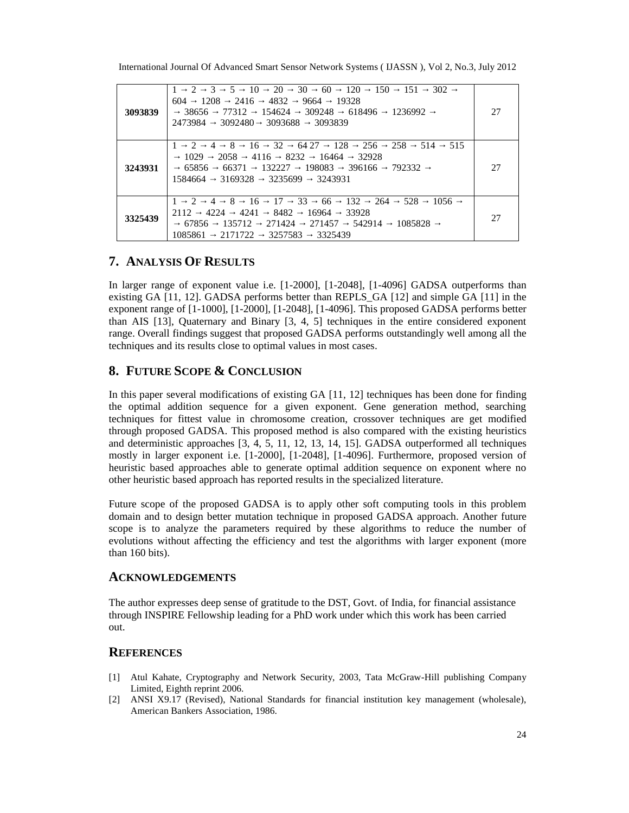International Journal Of Advanced Smart Sensor Network Systems ( IJASSN ), Vol 2, No.3, July 2012

| 3093839 | 30<br>10<br>20<br>120<br>150<br>302<br>$\mathfrak{D}$<br>3<br>5.<br>151<br>60<br>1208<br>4832<br>19328<br>2416<br>9664<br>604<br>77312<br>154624<br>309248<br>618496<br>38656<br>1236992<br>2473984<br>3093688<br>3093839<br>3092480                               | 27 |
|---------|--------------------------------------------------------------------------------------------------------------------------------------------------------------------------------------------------------------------------------------------------------------------|----|
| 3243931 | 32<br>128<br>258<br>514<br>$\mathcal{D}_{\mathcal{L}}$<br>8<br>64 27<br>256<br>515<br>16<br>$\overline{4}$<br>1029<br>8232<br>32928<br>2058<br>4116<br>16464<br>65856<br>66371<br>198083<br>132227<br>792332<br>396166<br>3169328<br>3235699<br>3243931<br>1584664 | 27 |
| 3325439 | 33<br>132<br>17<br>528<br>1056<br>$\mathcal{D}$<br>8<br>16<br>264<br>66<br>$\overline{4}$<br>4224<br>4241<br>8482<br>33928<br>16964<br>2112<br>67856<br>542914<br>135712<br>271457<br>1085828<br>271424<br>1085861<br>3257583<br>2171722<br>3325439                | 27 |

# **7. ANALYSIS OF RESULTS**

In larger range of exponent value i.e. [1-2000], [1-2048], [1-4096] GADSA outperforms than existing GA [11, 12]. GADSA performs better than REPLS\_GA [12] and simple GA [11] in the exponent range of [1-1000], [1-2000], [1-2048], [1-4096]. This proposed GADSA performs better than AIS [13], Quaternary and Binary [3, 4, 5] techniques in the entire considered exponent range. Overall findings suggest that proposed GADSA performs outstandingly well among all the techniques and its results close to optimal values in most cases.

# **8. FUTURE SCOPE & CONCLUSION**

In this paper several modifications of existing GA [11, 12] techniques has been done for finding the optimal addition sequence for a given exponent. Gene generation method, searching techniques for fittest value in chromosome creation, crossover techniques are get modified through proposed GADSA. This proposed method is also compared with the existing heuristics and deterministic approaches [3, 4, 5, 11, 12, 13, 14, 15]. GADSA outperformed all techniques mostly in larger exponent i.e. [1-2000], [1-2048], [1-4096]. Furthermore, proposed version of heuristic based approaches able to generate optimal addition sequence on exponent where no other heuristic based approach has reported results in the specialized literature.

Future scope of the proposed GADSA is to apply other soft computing tools in this problem domain and to design better mutation technique in proposed GADSA approach. Another future scope is to analyze the parameters required by these algorithms to reduce the number of evolutions without affecting the efficiency and test the algorithms with larger exponent (more than 160 bits).

#### **ACKNOWLEDGEMENTS**

The author expresses deep sense of gratitude to the DST, Govt. of India, for financial assistance through INSPIRE Fellowship leading for a PhD work under which this work has been carried out.

### **REFERENCES**

- [1] Atul Kahate, Cryptography and Network Security, 2003, Tata McGraw-Hill publishing Company Limited, Eighth reprint 2006.
- [2] ANSI X9.17 (Revised), National Standards for financial institution key management (wholesale), American Bankers Association, 1986.